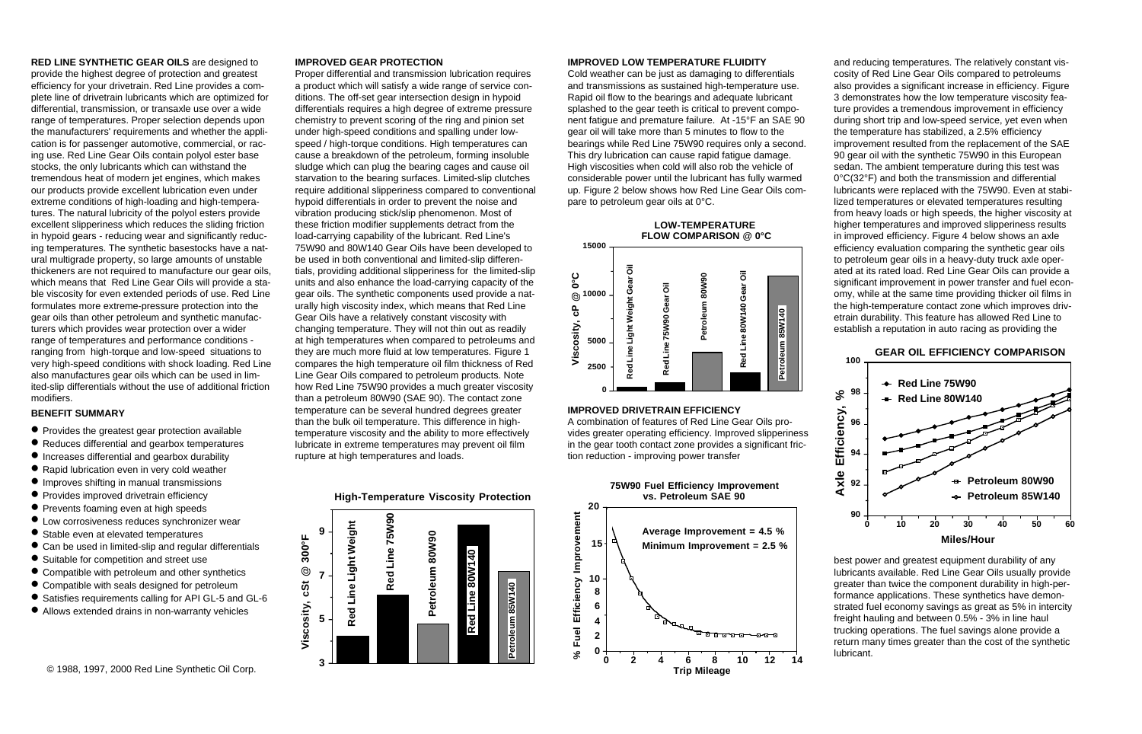# **RED LINE SYNTHETIC GEAR OILS** are designed to provide the highest degree of protection and greatest efficiency for your drivetrain. Red Line provides a complete line of drivetrain lubricants which are optimized for differential, transmission, or transaxle use over a wide range of temperatures. Proper selection depends upon the manufacturers' requirements and whether the application is for passenger automotive, commercial, or racing use. Red Line Gear Oils contain polyol ester base stocks, the only lubricants which can withstand the tremendous heat of modern jet engines, which makes our products provide excellent lubrication even under extreme conditions of high-loading and high-temperatures. The natural lubricity of the polyol esters provide excellent slipperiness which reduces the sliding friction in hypoid gears - reducing wear and significantly reducing temperatures. The synthetic basestocks have a natural multigrade property, so large amounts of unstable thickeners are not required to manufacture our gear oils, which means that Red Line Gear Oils will provide a stable viscosity for even extended periods of use. Red Line formulates more extreme-pressure protection into the gear oils than other petroleum and synthetic manufacturers which provides wear protection over a wider range of temperatures and performance conditions ranging from high-torque and low-speed situations to very high-speed conditions with shock loading. Red Line also manufactures gear oils which can be used in limited-slip differentials without the use of additional friction modifiers.

#### **BENEFIT SUMMARY**

- **•** Provides the greatest gear protection available
- **•** Reduces differential and gearbox temperatures
- **•** Increases differential and gearbox durability
- **•** Rapid lubrication even in very cold weather
- **•** Improves shifting in manual transmissions
- **•** Provides improved drivetrain efficiency
- **•** Prevents foaming even at high speeds
- **•** Low corrosiveness reduces synchronizer wear
- **•** Stable even at elevated temperatures
- **•** Can be used in limited-slip and regular differentials
- **•** Suitable for competition and street use
- **•** Compatible with petroleum and other synthetics
- **•** Compatible with seals designed for petroleum
- **•** Satisfies requirements calling for API GL-5 and GL-6
- **•** Allows extended drains in non-warranty vehicles

# **IMPROVED GEAR PROTECTION**

**3**

**5**

**7**

**Red Line Light Weight**

Red Line Light Weight

**Red Line 75W90**

Red Line 75W90

**Viscosity, cSt @ 300°F**

Viscosity, cSt

300°F

 $\circledcirc$ 

**9**

Proper differential and transmission lubrication requires a product which will satisfy a wide range of service conditions. The off-set gear intersection design in hypoid differentials requires a high degree of extreme pressure chemistry to prevent scoring of the ring and pinion set under high-speed conditions and spalling under lowspeed / high-torque conditions. High temperatures can cause a breakdown of the petroleum, forming insoluble sludge which can plug the bearing cages and cause oil starvation to the bearing surfaces. Limited-slip clutches require additional slipperiness compared to conventional hypoid differentials in order to prevent the noise and vibration producing stick/slip phenomenon. Most of these friction modifier supplements detract from the load-carrying capability of the lubricant. Red Line's 75W90 and 80W140 Gear Oils have been developed to be used in both conventional and limited-slip differentials, providing additional slipperiness for the limited-slip units and also enhance the load-carrying capacity of the gear oils. The synthetic components used provide a naturally high viscosity index, which means that Red Line Gear Oils have a relatively constant viscosity with changing temperature. They will not thin out as readily at high temperatures when compared to petroleums and they are much more fluid at low temperatures. Figure 1 compares the high temperature oil film thickness of Red Line Gear Oils compared to petroleum products. Note how Red Line 75W90 provides a much greater viscosity than a petroleum 80W90 (SAE 90). The contact zone temperature can be several hundred degrees greater than the bulk oil temperature. This difference in hightemperature viscosity and the ability to more effectively lubricate in extreme temperatures may prevent oil film rupture at high temperatures and loads.

**High-Temperature Viscosity Protection**

**Petroleum 80W90**

Petroleum 80W90

**Red Line 80W140**

Red Line

 $\frac{6}{3}$ 

**Petroleum 85W140**

Petroleum 85W140



Cold weather can be just as damaging to differentials and transmissions as sustained high-temperature use. Rapid oil flow to the bearings and adequate lubricant splashed to the gear teeth is critical to prevent component fatigue and premature failure. At -15°F an SAE 90 gear oil will take more than 5 minutes to flow to the bearings while Red Line 75W90 requires only a second. This dry lubrication can cause rapid fatigue damage. High viscosities when cold will also rob the vehicle of considerable power until the lubricant has fully warmed up. Figure 2 below shows how Red Line Gear Oils compare to petroleum gear oils at 0°C.



# **IMPROVED DRIVETRAIN EFFICIENCY**

A combination of features of Red Line Gear Oils provides greater operating efficiency. Improved slipperiness in the gear tooth contact zone provides a significant friction reduction - improving power transfer

**75W90 Fuel Efficiency Improvement**



and reducing temperatures. The relatively constant viscosity of Red Line Gear Oils compared to petroleums also provides a significant increase in efficiency. Figure 3 demonstrates how the low temperature viscosity feature provides a tremendous improvement in efficiency during short trip and low-speed service, yet even when the temperature has stabilized, a 2.5% efficiency improvement resulted from the replacement of the SAE 90 gear oil with the synthetic 75W90 in this European sedan. The ambient temperature during this test was 0°C(32°F) and both the transmission and differential lubricants were replaced with the 75W90. Even at stabilized temperatures or elevated temperatures resulting from heavy loads or high speeds, the higher viscosity at higher temperatures and improved slipperiness results in improved efficiency. Figure 4 below shows an axle efficiency evaluation comparing the synthetic gear oils to petroleum gear oils in a heavy-duty truck axle operated at its rated load. Red Line Gear Oils can provide a significant improvement in power transfer and fuel economy, while at the same time providing thicker oil films in the high-temperature contact zone which improves drivetrain durability. This feature has allowed Red Line to establish a reputation in auto racing as providing the





best power and greatest equipment durability of any lubricants available. Red Line Gear Oils usually provide greater than twice the component durability in high-performance applications. These synthetics have demonstrated fuel economy savings as great as 5% in intercity freight hauling and between 0.5% - 3% in line haul trucking operations. The fuel savings alone provide a return many times greater than the cost of the synthetic lubricant.

© 1988, 1997, 2000 Red Line Synthetic Oil Corp.